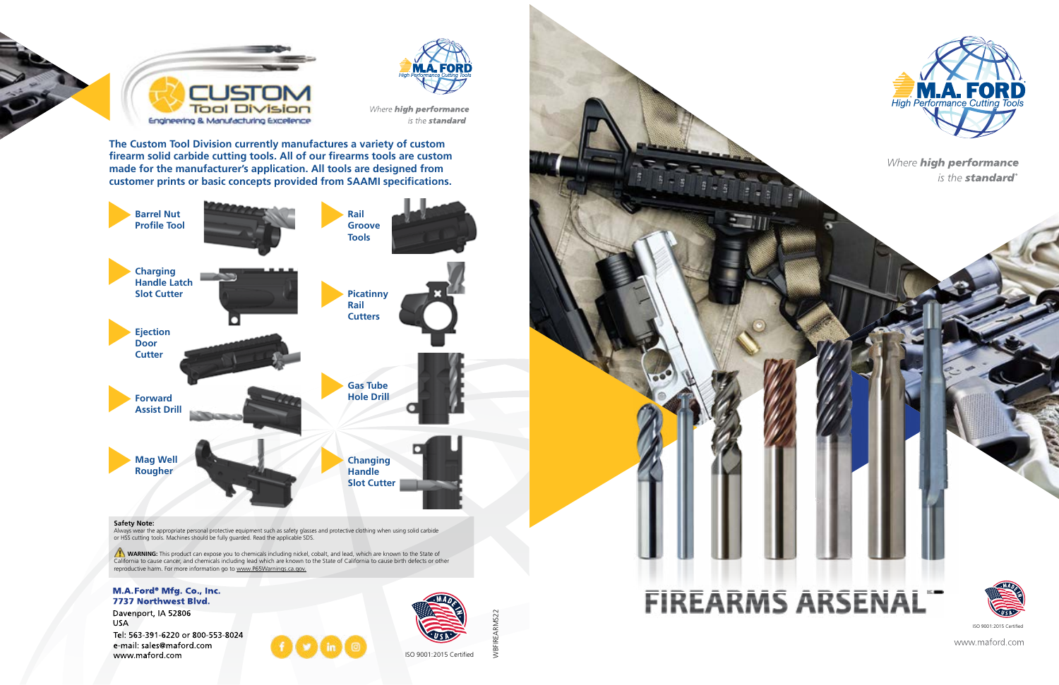



Where high performance is the **standard** 

**The Custom Tool Division currently manufactures a variety of custom firearm solid carbide cutting tools. All of our firearms tools are custom made for the manufacturer's application. All tools are designed from customer prints or basic concepts provided from SAAMI specifications.**

WBFIREARMS22

 $\overline{8}$ 



WARNING: This product can expose you to chemicals including nickel, cobalt, and lead, which are known to the State of California to cause cancer, and chemicals including lead which are known to the State of California to cause birth defects or other reproductive harm. For more information go to www.P65Warnings.ca.gov.

#### M.A. Ford<sup>®</sup> Mfg. Co., Inc. 7737 Northwest Blvd.

Davenport, IA 52806 **USA** Tel: 563-391-6220 or 800-553-8024

e-mail: sales@maford.com www.maford.com





#### **Safety Note:**

Always wear the appropriate personal protective equipment such as safety glasses and protective clothing when using solid carbide or HSS cutting tools. Machines should be fully guarded. Read the applicable SDS.

ISO 9001:2015 Certified



Where **high performance** is the **standard**®

# **FIREARMS ARSENAL**



ISO 9001:2015 Certified

www.maford.com